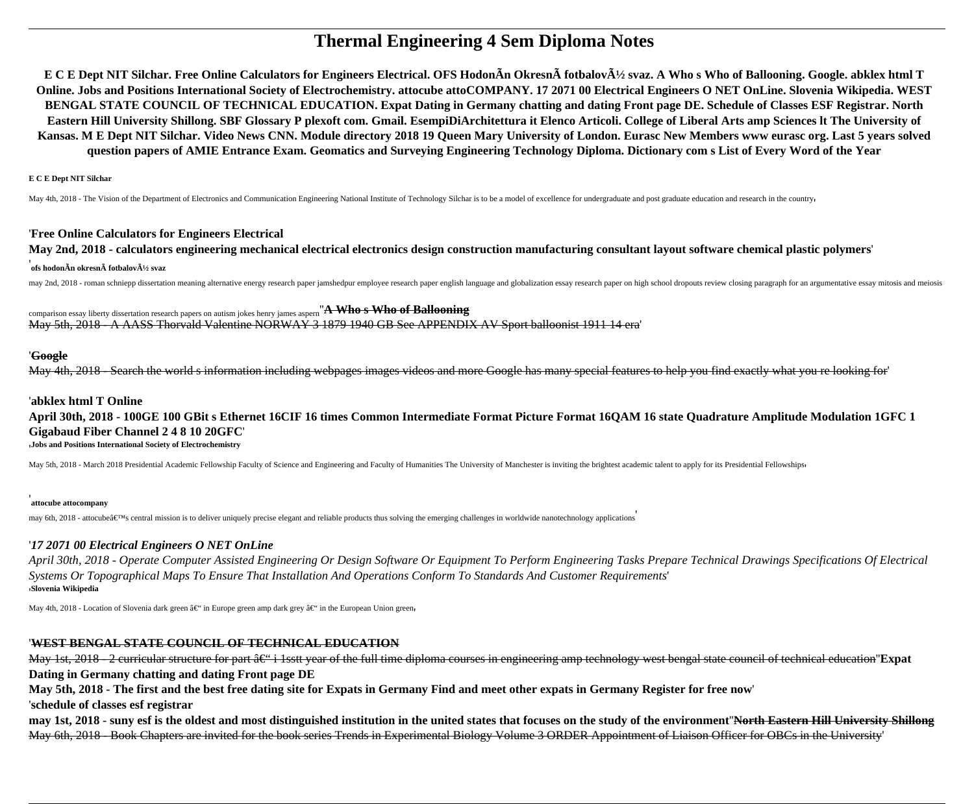# **Thermal Engineering 4 Sem Diploma Notes**

E C E Dept NIT Silchar. Free Online Calculators for Engineers Electrical. OFS HodonAn OkresnA fotbalovA½ svaz. A Who s Who of Ballooning. Google. abklex html T Online. Jobs and Positions International Society of Electrochemistry. attocube attoCOMPANY. 17 2071 00 Electrical Engineers ONET OnLine. Slovenia Wikipedia. WEST BENGAL STATE COUNCIL OF TECHNICAL EDUCATION. Expat Dating in Germany chatting and dating Front page DE. Schedule of Classes ESF Registrar. North Eastern Hill University Shillong. SBF Glossary P plexoft com. Gmail. EsempiDiArchitettura it Elenco Articoli. College of Liberal Arts amp Sciences It The University of Kansas. M E Dept NIT Silchar. Video News CNN. Module directory 2018 19 Queen Mary University of London. Eurasc New Members www eurasc org. Last 5 years solved question papers of AMIE Entrance Exam. Geomatics and Surveying Engineering Technology Diploma. Dictionary com s List of Every Word of the Year

**E C E Dept NIT Silchar** 

May 4th, 2018 - The Vision of the Department of Electronics and Communication Engineering National Institute of Technology Silchar is to be a model of excellence for undergraduate and post graduate education and research i

### **'Free Online Calculators for Engineers Electrical**

May 2nd, 2018 - calculators engineering mechanical electrical electronics design construction manufacturing consultant layout software chemical plastic polymers'

### ofs hodonÃn okresnà fotbalový svaz

may 2nd, 2018 - roman schniepp dissertation meaning alternative energy research paper jamshedpur employee research paper english language and globalization essay research paper on high school dropouts review closing paragr

comparison essay liberty dissertation research papers on autism jokes henry james aspern "A Who s Who of Ballooning May 5th, 2018 - A AASS Thorvald Valentine NORWAY 3 1879 1940 GB See APPENDIX AV Sport balloonist 1911 14 era

### 'Google

May 4th, 2018 - Search the world s information including webpages images videos and more Google has many special features to help you find exactly what you re looking for

### 'abklex html T Online

April 30th, 2018 - 100GE 100 GBit s Ethernet 16CIF 16 times Common Intermediate Format Picture Format 16OAM 16 state Ouadrature Amplitude Modulation 1GFC 1 **Gigabaud Fiber Channel 2 4 8 10 20GFC** Jobs and Positions International Society of Electrochemistry

May 5th, 2018 - March 2018 Presidential Academic Fellowship Faculty of Science and Engineering and Faculty of Humanities The University of Manchester is inviting the brightest academic talent to apply for its Presidential

#### attocube attocompany

may 6th, 2018 - attocube's central mission is to deliver uniquely precise elegant and reliable products thus solving the emerging challenges in worldwide nanotechnology applications

### '17 2071 00 Electrical Engineers O NET OnLine

April 30th, 2018 - Operate Computer Assisted Engineering Or Design Software Or Equipment To Perform Engineering Tasks Prepare Technical Drawings Specifications Of Electrical Systems Or Topographical Maps To Ensure That Installation And Operations Conform To Standards And Customer Requirements' Slovenia Wikipedia

May 4th, 2018 - Location of Slovenia dark green – in Europe green amp dark grey – in the European Union green

# **WEST BENGAL STATE COUNCIL OF TECHNICAL EDUCATION**

May 1st, 2018 - 2 curricular structure for part â€" i 1sstt year of the full time diploma courses in engineering amp technology west bengal state council of technical education Expat Dating in Germany chatting and dating Front page DE

May 5th, 2018 - The first and the best free dating site for Expats in Germany Find and meet other expats in Germany Register for free now

'schedule of classes esf registrar

may 1st, 2018 - suny esf is the oldest and most distinguished institution in the united states that focuses on the study of the environment"North Eastern Hill University Shillong May 6th, 2018 - Book Chapters are invited for the book series Trends in Experimental Biology Volume 3 ORDER Appointment of Liaison Officer for OBCs in the University